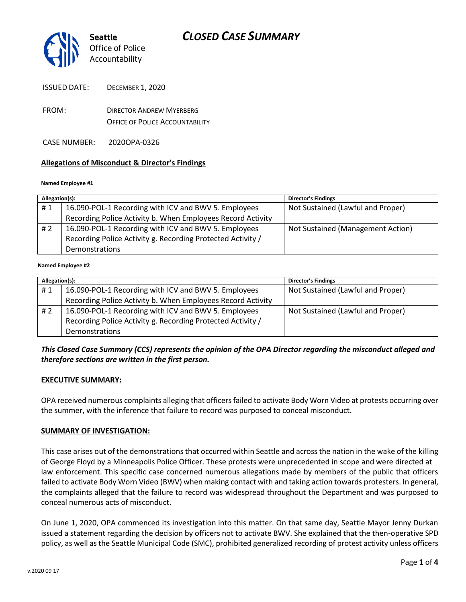

ISSUED DATE: DECEMBER 1, 2020

- FROM: DIRECTOR ANDREW MYERBERG OFFICE OF POLICE ACCOUNTABILITY
- CASE NUMBER: 2020OPA-0326

### **Allegations of Misconduct & Director's Findings**

#### **Named Employee #1**

| Allegation(s): |                                                             | <b>Director's Findings</b>        |
|----------------|-------------------------------------------------------------|-----------------------------------|
| #1             | 16.090-POL-1 Recording with ICV and BWV 5. Employees        | Not Sustained (Lawful and Proper) |
|                | Recording Police Activity b. When Employees Record Activity |                                   |
| #2             | 16.090-POL-1 Recording with ICV and BWV 5. Employees        | Not Sustained (Management Action) |
|                | Recording Police Activity g. Recording Protected Activity / |                                   |
|                | Demonstrations                                              |                                   |
|                |                                                             |                                   |

#### **Named Employee #2**

| Allegation(s): |                                                             | Director's Findings               |
|----------------|-------------------------------------------------------------|-----------------------------------|
| #1             | 16.090-POL-1 Recording with ICV and BWV 5. Employees        | Not Sustained (Lawful and Proper) |
|                | Recording Police Activity b. When Employees Record Activity |                                   |
| #2             | 16.090-POL-1 Recording with ICV and BWV 5. Employees        | Not Sustained (Lawful and Proper) |
|                | Recording Police Activity g. Recording Protected Activity / |                                   |
|                | Demonstrations                                              |                                   |

## *This Closed Case Summary (CCS) represents the opinion of the OPA Director regarding the misconduct alleged and therefore sections are written in the first person.*

#### **EXECUTIVE SUMMARY:**

OPA received numerous complaints alleging that officers failed to activate Body Worn Video at protests occurring over the summer, with the inference that failure to record was purposed to conceal misconduct.

### **SUMMARY OF INVESTIGATION:**

This case arises out of the demonstrations that occurred within Seattle and across the nation in the wake of the killing of George Floyd by a Minneapolis Police Officer. These protests were unprecedented in scope and were directed at law enforcement. This specific case concerned numerous allegations made by members of the public that officers failed to activate Body Worn Video (BWV) when making contact with and taking action towards protesters. In general, the complaints alleged that the failure to record was widespread throughout the Department and was purposed to conceal numerous acts of misconduct.

On June 1, 2020, OPA commenced its investigation into this matter. On that same day, Seattle Mayor Jenny Durkan issued a statement regarding the decision by officers not to activate BWV. She explained that the then-operative SPD policy, as well as the Seattle Municipal Code (SMC), prohibited generalized recording of protest activity unless officers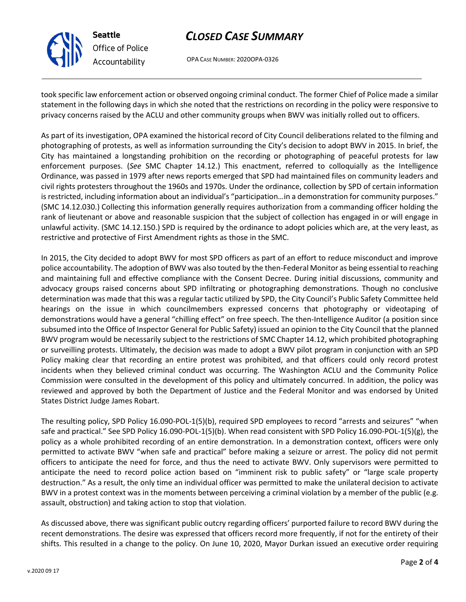

**Seattle** *Office of Police Accountability*

# *CLOSED CASE SUMMARY*

OPA CASE NUMBER: 2020OPA-0326

took specific law enforcement action or observed ongoing criminal conduct. The former Chief of Police made a similar statement in the following days in which she noted that the restrictions on recording in the policy were responsive to privacy concerns raised by the ACLU and other community groups when BWV was initially rolled out to officers.

As part of its investigation, OPA examined the historical record of City Council deliberations related to the filming and photographing of protests, as well as information surrounding the City's decision to adopt BWV in 2015. In brief, the City has maintained a longstanding prohibition on the recording or photographing of peaceful protests for law enforcement purposes. (*See* SMC Chapter 14.12.) This enactment, referred to colloquially as the Intelligence Ordinance, was passed in 1979 after news reports emerged that SPD had maintained files on community leaders and civil rights protesters throughout the 1960s and 1970s. Under the ordinance, collection by SPD of certain information is restricted, including information about an individual's "participation…in a demonstration for community purposes." (SMC 14.12.030.) Collecting this information generally requires authorization from a commanding officer holding the rank of lieutenant or above and reasonable suspicion that the subject of collection has engaged in or will engage in unlawful activity. (SMC 14.12.150.) SPD is required by the ordinance to adopt policies which are, at the very least, as restrictive and protective of First Amendment rights as those in the SMC.

In 2015, the City decided to adopt BWV for most SPD officers as part of an effort to reduce misconduct and improve police accountability. The adoption of BWV was also touted by the then-Federal Monitor as being essential to reaching and maintaining full and effective compliance with the Consent Decree. During initial discussions, community and advocacy groups raised concerns about SPD infiltrating or photographing demonstrations. Though no conclusive determination was made that this was a regular tactic utilized by SPD, the City Council's Public Safety Committee held hearings on the issue in which councilmembers expressed concerns that photography or videotaping of demonstrations would have a general "chilling effect" on free speech. The then-Intelligence Auditor (a position since subsumed into the Office of Inspector General for Public Safety) issued an opinion to the City Council that the planned BWV program would be necessarily subject to the restrictions of SMC Chapter 14.12, which prohibited photographing or surveilling protests. Ultimately, the decision was made to adopt a BWV pilot program in conjunction with an SPD Policy making clear that recording an entire protest was prohibited, and that officers could only record protest incidents when they believed criminal conduct was occurring. The Washington ACLU and the Community Police Commission were consulted in the development of this policy and ultimately concurred. In addition, the policy was reviewed and approved by both the Department of Justice and the Federal Monitor and was endorsed by United States District Judge James Robart.

The resulting policy, SPD Policy 16.090-POL-1(5)(b), required SPD employees to record "arrests and seizures" "when safe and practical." See SPD Policy 16.090-POL-1(5)(b). When read consistent with SPD Policy 16.090-POL-1(5)(g), the policy as a whole prohibited recording of an entire demonstration. In a demonstration context, officers were only permitted to activate BWV "when safe and practical" before making a seizure or arrest. The policy did not permit officers to anticipate the need for force, and thus the need to activate BWV. Only supervisors were permitted to anticipate the need to record police action based on "imminent risk to public safety" or "large scale property destruction." As a result, the only time an individual officer was permitted to make the unilateral decision to activate BWV in a protest context was in the moments between perceiving a criminal violation by a member of the public (e.g. assault, obstruction) and taking action to stop that violation.

As discussed above, there was significant public outcry regarding officers' purported failure to record BWV during the recent demonstrations. The desire was expressed that officers record more frequently, if not for the entirety of their shifts. This resulted in a change to the policy. On June 10, 2020, Mayor Durkan issued an executive order requiring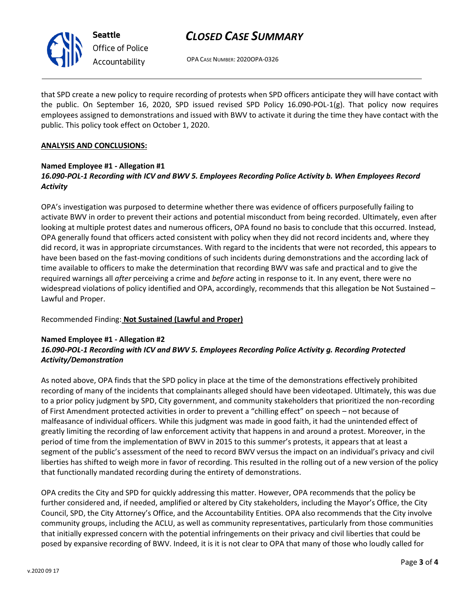

**Seattle** *Office of Police Accountability*

# *CLOSED CASE SUMMARY*

OPA CASE NUMBER: 2020OPA-0326

that SPD create a new policy to require recording of protests when SPD officers anticipate they will have contact with the public. On September 16, 2020, SPD issued revised SPD Policy 16.090-POL-1(g). That policy now requires employees assigned to demonstrations and issued with BWV to activate it during the time they have contact with the public. This policy took effect on October 1, 2020.

# **ANALYSIS AND CONCLUSIONS:**

## **Named Employee #1 - Allegation #1** *16.090-POL-1 Recording with ICV and BWV 5. Employees Recording Police Activity b. When Employees Record Activity*

OPA's investigation was purposed to determine whether there was evidence of officers purposefully failing to activate BWV in order to prevent their actions and potential misconduct from being recorded. Ultimately, even after looking at multiple protest dates and numerous officers, OPA found no basis to conclude that this occurred. Instead, OPA generally found that officers acted consistent with policy when they did not record incidents and, where they did record, it was in appropriate circumstances. With regard to the incidents that were not recorded, this appears to have been based on the fast-moving conditions of such incidents during demonstrations and the according lack of time available to officers to make the determination that recording BWV was safe and practical and to give the required warnings all *after* perceiving a crime and *before* acting in response to it. In any event, there were no widespread violations of policy identified and OPA, accordingly, recommends that this allegation be Not Sustained – Lawful and Proper.

Recommended Finding: **Not Sustained (Lawful and Proper)**

# **Named Employee #1 - Allegation #2** *16.090-POL-1 Recording with ICV and BWV 5. Employees Recording Police Activity g. Recording Protected Activity/Demonstration*

As noted above, OPA finds that the SPD policy in place at the time of the demonstrations effectively prohibited recording of many of the incidents that complainants alleged should have been videotaped. Ultimately, this was due to a prior policy judgment by SPD, City government, and community stakeholders that prioritized the non-recording of First Amendment protected activities in order to prevent a "chilling effect" on speech – not because of malfeasance of individual officers. While this judgment was made in good faith, it had the unintended effect of greatly limiting the recording of law enforcement activity that happens in and around a protest. Moreover, in the period of time from the implementation of BWV in 2015 to this summer's protests, it appears that at least a segment of the public's assessment of the need to record BWV versus the impact on an individual's privacy and civil liberties has shifted to weigh more in favor of recording. This resulted in the rolling out of a new version of the policy that functionally mandated recording during the entirety of demonstrations.

OPA credits the City and SPD for quickly addressing this matter. However, OPA recommends that the policy be further considered and, if needed, amplified or altered by City stakeholders, including the Mayor's Office, the City Council, SPD, the City Attorney's Office, and the Accountability Entities. OPA also recommends that the City involve community groups, including the ACLU, as well as community representatives, particularly from those communities that initially expressed concern with the potential infringements on their privacy and civil liberties that could be posed by expansive recording of BWV. Indeed, it is it is not clear to OPA that many of those who loudly called for